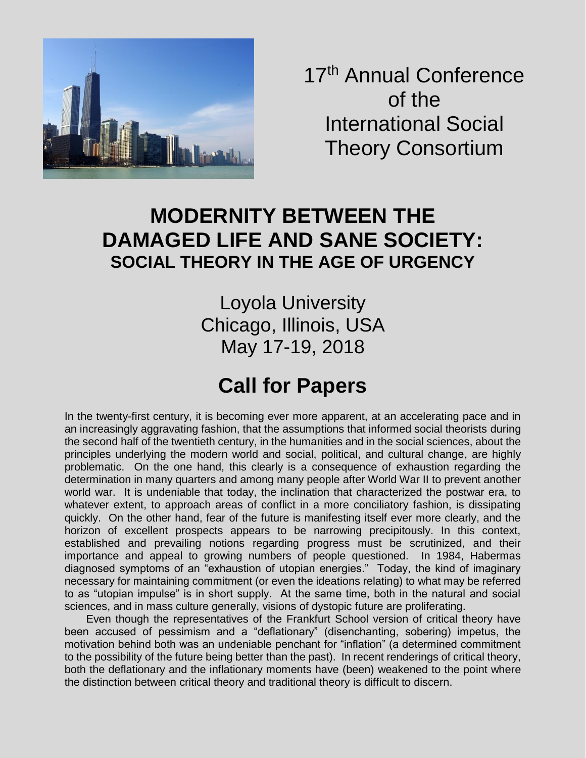

17<sup>th</sup> Annual Conference of the International Social Theory Consortium

## **MODERNITY BETWEEN THE DAMAGED LIFE AND SANE SOCIETY: SOCIAL THEORY IN THE AGE OF URGENCY**

Loyola University Chicago, Illinois, USA May 17-19, 2018

# **Call for Papers**

In the twenty-first century, it is becoming ever more apparent, at an accelerating pace and in an increasingly aggravating fashion, that the assumptions that informed social theorists during the second half of the twentieth century, in the humanities and in the social sciences, about the principles underlying the modern world and social, political, and cultural change, are highly problematic. On the one hand, this clearly is a consequence of exhaustion regarding the determination in many quarters and among many people after World War II to prevent another world war. It is undeniable that today, the inclination that characterized the postwar era, to whatever extent, to approach areas of conflict in a more conciliatory fashion, is dissipating quickly. On the other hand, fear of the future is manifesting itself ever more clearly, and the horizon of excellent prospects appears to be narrowing precipitously. In this context, established and prevailing notions regarding progress must be scrutinized, and their importance and appeal to growing numbers of people questioned. In 1984, Habermas diagnosed symptoms of an "exhaustion of utopian energies." Today, the kind of imaginary necessary for maintaining commitment (or even the ideations relating) to what may be referred to as "utopian impulse" is in short supply. At the same time, both in the natural and social sciences, and in mass culture generally, visions of dystopic future are proliferating.

Even though the representatives of the Frankfurt School version of critical theory have been accused of pessimism and a "deflationary" (disenchanting, sobering) impetus, the motivation behind both was an undeniable penchant for "inflation" (a determined commitment to the possibility of the future being better than the past). In recent renderings of critical theory, both the deflationary and the inflationary moments have (been) weakened to the point where the distinction between critical theory and traditional theory is difficult to discern.